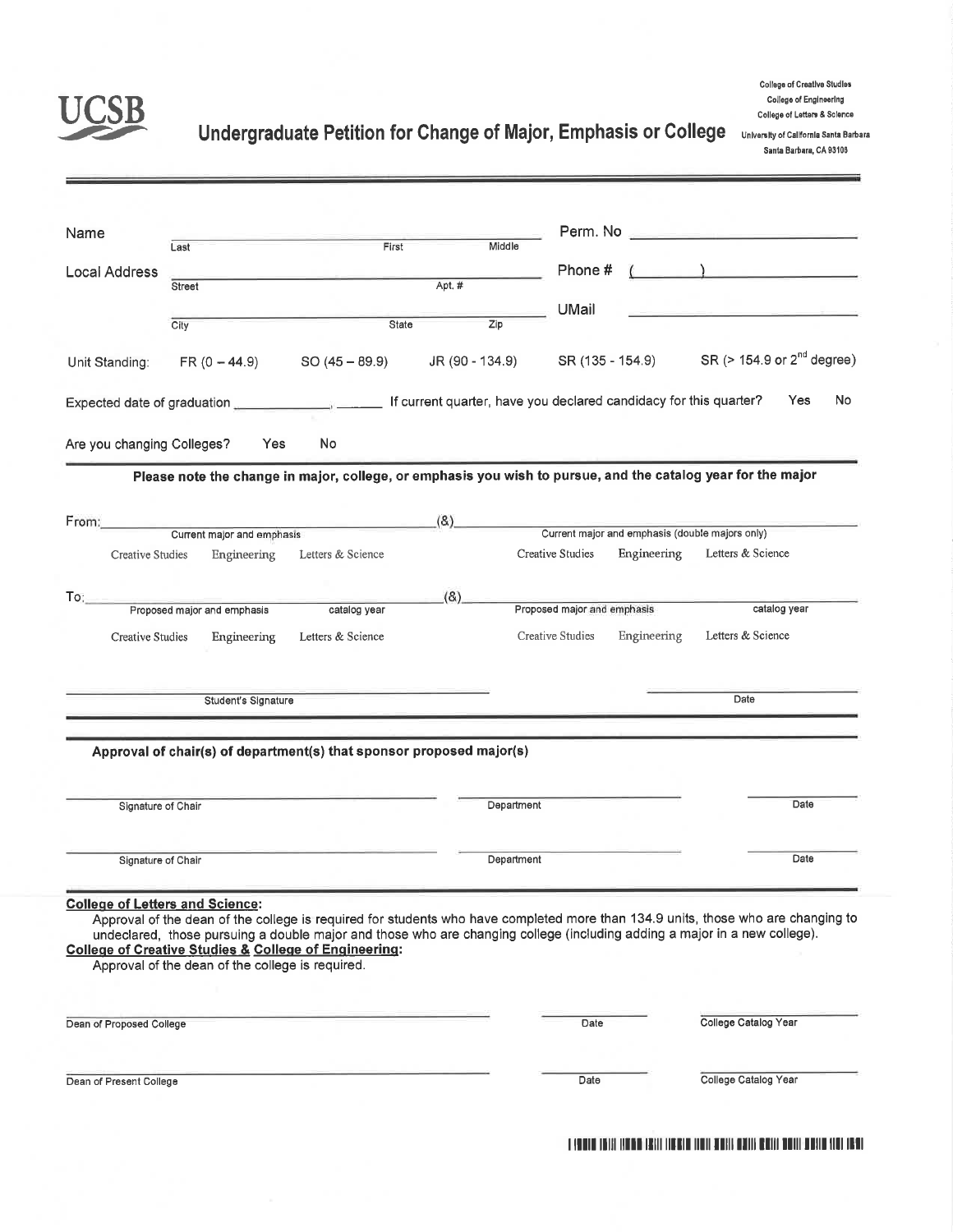

## Undergraduate Petition for Change of Major, Emphasis or College University of California Santa Barbara

College of Creative Studies College of Engineering College of Letters & Science

Santa Barbara, CA 93106

| Name                       |                                                                                                                                                                |                            |                  |                             |                                                                |                                                                                                                                                                                                                                                               |
|----------------------------|----------------------------------------------------------------------------------------------------------------------------------------------------------------|----------------------------|------------------|-----------------------------|----------------------------------------------------------------|---------------------------------------------------------------------------------------------------------------------------------------------------------------------------------------------------------------------------------------------------------------|
|                            | Last                                                                                                                                                           | First                      | Middle           | Perm. No                    |                                                                | <u> 1948 - Jan Alemania (h. 19</u>                                                                                                                                                                                                                            |
| <b>Local Address</b>       |                                                                                                                                                                |                            |                  | Phone #                     |                                                                | $\sim$ 100 $\sim$ 100 $\sim$ 100 $\sim$ 100 $\sim$                                                                                                                                                                                                            |
|                            | Street                                                                                                                                                         |                            | Apt. #           |                             |                                                                |                                                                                                                                                                                                                                                               |
|                            | City                                                                                                                                                           | State                      | $\overline{Zip}$ | UMail                       |                                                                |                                                                                                                                                                                                                                                               |
|                            |                                                                                                                                                                |                            |                  |                             |                                                                |                                                                                                                                                                                                                                                               |
| Unit Standing:             | $FR (0 - 44.9)$                                                                                                                                                | $SO(45 - 89.9)$            | JR (90 - 134.9)  |                             |                                                                | SR (135 - 154.9) SR (> 154.9 or 2 <sup>nd</sup> degree)                                                                                                                                                                                                       |
|                            |                                                                                                                                                                |                            |                  |                             |                                                                | No<br>Yes                                                                                                                                                                                                                                                     |
| Are you changing Colleges? | Yes                                                                                                                                                            | No                         |                  |                             |                                                                |                                                                                                                                                                                                                                                               |
|                            |                                                                                                                                                                |                            |                  |                             |                                                                | Please note the change in major, college, or emphasis you wish to pursue, and the catalog year for the major                                                                                                                                                  |
| From:                      |                                                                                                                                                                | the company of the company | (8)              |                             |                                                                |                                                                                                                                                                                                                                                               |
|                            | Current major and emphasis                                                                                                                                     |                            |                  | Creative Studies            | Current major and emphasis (double majors only)<br>Engineering | Letters & Science                                                                                                                                                                                                                                             |
| Creative Studies           | Engineering                                                                                                                                                    | Letters & Science          |                  |                             |                                                                |                                                                                                                                                                                                                                                               |
| To:                        |                                                                                                                                                                |                            | (8)              |                             |                                                                |                                                                                                                                                                                                                                                               |
|                            | Proposed major and emphasis                                                                                                                                    | catalog year               |                  | Proposed major and emphasis |                                                                | catalog year                                                                                                                                                                                                                                                  |
| Creative Studies           | Engineering                                                                                                                                                    | Letters & Science          |                  | Creative Studies            | Engineering                                                    | Letters & Science                                                                                                                                                                                                                                             |
|                            | Student's Signature                                                                                                                                            |                            |                  |                             |                                                                | Date                                                                                                                                                                                                                                                          |
|                            |                                                                                                                                                                |                            |                  |                             |                                                                |                                                                                                                                                                                                                                                               |
|                            |                                                                                                                                                                |                            |                  |                             |                                                                |                                                                                                                                                                                                                                                               |
|                            | Approval of chair(s) of department(s) that sponsor proposed major(s)                                                                                           |                            |                  |                             |                                                                |                                                                                                                                                                                                                                                               |
| Signature of Chair         |                                                                                                                                                                |                            | Department       |                             |                                                                | Date                                                                                                                                                                                                                                                          |
| Signature of Chair         |                                                                                                                                                                |                            | Department       |                             |                                                                | Date                                                                                                                                                                                                                                                          |
|                            | <b>College of Letters and Science:</b><br><b>College of Creative Studies &amp; College of Engineering:</b><br>Approval of the dean of the college is required. |                            |                  |                             |                                                                | Approval of the dean of the college is required for students who have completed more than 134.9 units, those who are changing to<br>undeclared, those pursuing a double major and those who are changing college (including adding a major in a new college). |
| Dean of Proposed College   |                                                                                                                                                                |                            |                  | Date                        |                                                                | College Catalog Year                                                                                                                                                                                                                                          |

I YOUNG THIS INDIA THAT THERE THEY HERE WHILE BEST DOING HERE THE THEFT